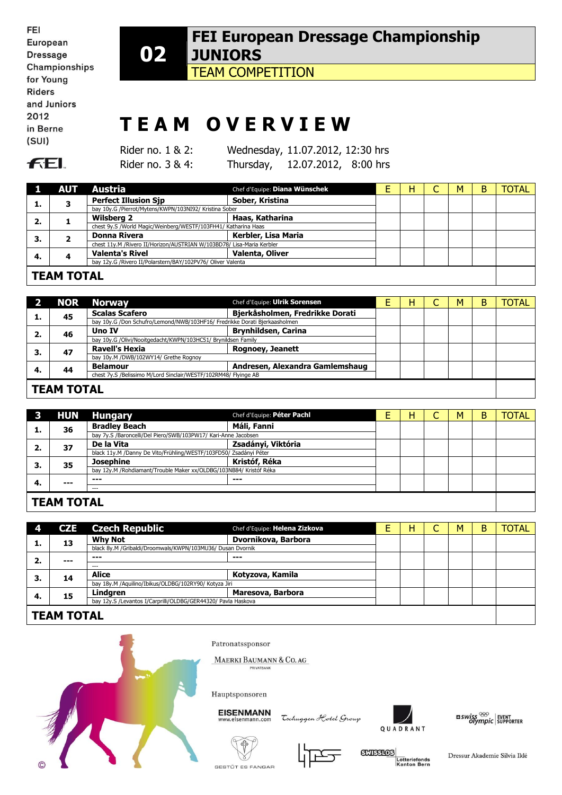| FEI.            |
|-----------------|
| <b>European</b> |
| <b>Dressage</b> |
| Championships   |
| for Young       |
| Riders          |
| and Juniors     |
| 2012            |
| in Berne        |
| (SUI)           |
|                 |

#### **02 FEI European Dressage Championship JUNIORS**

TEAM COMPETITION

# **T E A M O V E R V I E W**

**FEL** 

Rider no. 1 & 2: Wednesday, 11.07.2012, 12:30 hrs Rider no. 3 & 4: Thursday, 12.07.2012, 8:00 hrs

| $\blacksquare$                                              |  | <b>AUT</b> Austria                                                    | Chef d'Equipe: Diana Wünschek |  | н |  | M | В | TOTAL |
|-------------------------------------------------------------|--|-----------------------------------------------------------------------|-------------------------------|--|---|--|---|---|-------|
| ı.                                                          |  | <b>Perfect Illusion Sip</b>                                           | Sober, Kristina               |  |   |  |   |   |       |
|                                                             |  | bay 10y.G /Pierrot/Mytens/KWPN/103NI92/ Kristina Sober                |                               |  |   |  |   |   |       |
| 2.                                                          |  | <b>Wilsberg 2</b>                                                     | Haas, Katharina               |  |   |  |   |   |       |
|                                                             |  | chest 9y.S /World Magic/Weinberg/WESTF/103FH41/ Katharina Haas        |                               |  |   |  |   |   |       |
| з.                                                          |  | <b>Donna Rivera</b>                                                   | Kerbler, Lisa Maria           |  |   |  |   |   |       |
|                                                             |  | chest 11y.M /Rivero II/Horizon/AUSTRIAN W/103BD78/ Lisa-Maria Kerbler |                               |  |   |  |   |   |       |
| 4.                                                          |  | <b>Valenta's Rivel</b>                                                | Valenta, Oliver               |  |   |  |   |   |       |
| bay 12y.G /Rivero II/Polarstern/BAY/102PV76/ Oliver Valenta |  |                                                                       |                               |  |   |  |   |   |       |
|                                                             |  |                                                                       |                               |  |   |  |   |   |       |
| <b>TEAM TOTAL</b>                                           |  |                                                                       |                               |  |   |  |   |   |       |

| $\overline{\mathbf{2}}$                                         | <b>NOR</b> | Norway                                                                     | Chef d'Equipe: Ulrik Sorensen   |  | н |  | M | В | TOTAL |
|-----------------------------------------------------------------|------------|----------------------------------------------------------------------------|---------------------------------|--|---|--|---|---|-------|
| ı.                                                              | 45         | <b>Scalas Scafero</b>                                                      | Bjerkåsholmen, Fredrikke Dorati |  |   |  |   |   |       |
|                                                                 |            | bay 10y.G /Don Schufro/Lemond/NWB/103HF16/ Fredrikke Dorati Bjerkaasholmen |                                 |  |   |  |   |   |       |
| 2.                                                              | 46         | Uno IV                                                                     | <b>Brynhildsen, Carina</b>      |  |   |  |   |   |       |
|                                                                 |            | bay 10y.G /Olivi/Nooitgedacht/KWPN/103HC51/ Brynildsen Family              |                                 |  |   |  |   |   |       |
| З.                                                              | 47         | <b>Ravell's Hexia</b>                                                      | <b>Rognoey, Jeanett</b>         |  |   |  |   |   |       |
|                                                                 |            | bay 10y.M /DWB/102WY14/ Grethe Rognoy                                      |                                 |  |   |  |   |   |       |
| 4.                                                              | 44         | <b>Belamour</b>                                                            | Andresen, Alexandra Gamlemshaug |  |   |  |   |   |       |
| chest 7y.S /Belissimo M/Lord Sinclair/WESTF/102RM48/ Flyinge AB |            |                                                                            |                                 |  |   |  |   |   |       |
| <b>TEAM TOTAL</b>                                               |            |                                                                            |                                 |  |   |  |   |   |       |
|                                                                 |            |                                                                            |                                 |  |   |  |   |   |       |

| $\mathbf{3}$ | HUN | <b>Hungary</b>                                                     | Chef d'Equipe: Péter Pachl |  | н |  | M | В | TOTAL |
|--------------|-----|--------------------------------------------------------------------|----------------------------|--|---|--|---|---|-------|
| . .          | 36  | <b>Bradley Beach</b>                                               | Máli, Fanni                |  |   |  |   |   |       |
|              |     | bay 7y.S /Baroncelli/Del Piero/SWB/103PW17/ Kari-Anne Jacobsen     |                            |  |   |  |   |   |       |
|              | 37  | De la Vita                                                         | Zsadányi, Viktória         |  |   |  |   |   |       |
| Ζ.           |     | black 11y.M /Danny De Vito/Frühling/WESTF/103FD50/ Zsadányi Péter  |                            |  |   |  |   |   |       |
| З.           | 35  | <b>Josephine</b>                                                   | Kristóf, Réka              |  |   |  |   |   |       |
|              |     | bay 12y.M /Rohdiamant/Trouble Maker xx/OLDBG/103NB84/ Kristóf Réka |                            |  |   |  |   |   |       |
| 4.           | --- | $- - -$                                                            | $- - -$                    |  |   |  |   |   |       |
|              |     | $- - -$                                                            |                            |  |   |  |   |   |       |
| TEAM TOTAL   |     |                                                                    |                            |  |   |  |   |   |       |

## **TEAM TOTAL**

|                   |                                                               | <b>CZE</b> Czech Republic                                  | Chef d'Equipe: Helena Zizkova |  | н |  | M | B | TOTAL |
|-------------------|---------------------------------------------------------------|------------------------------------------------------------|-------------------------------|--|---|--|---|---|-------|
|                   | 13                                                            | <b>Why Not</b>                                             | Dvornikova, Barbora           |  |   |  |   |   |       |
|                   |                                                               | black 8y.M /Gribaldi/Droomwals/KWPN/103MU36/ Dusan Dvornik |                               |  |   |  |   |   |       |
| 2.                | ---                                                           | $- - -$                                                    | ---                           |  |   |  |   |   |       |
|                   |                                                               | ---                                                        |                               |  |   |  |   |   |       |
| 3.                | 14                                                            | <b>Alice</b>                                               | Kotyzova, Kamila              |  |   |  |   |   |       |
|                   | bay 18y.M /Aquilino/Ibikus/OLDBG/102RY90/ Kotyza Jiri         |                                                            |                               |  |   |  |   |   |       |
| - 4.              | 15                                                            | Lindgren                                                   | Maresova, Barbora             |  |   |  |   |   |       |
|                   | bay 12y.S /Levantos I/Carprilli/OLDBG/GER44320/ Pavla Haskova |                                                            |                               |  |   |  |   |   |       |
| <b>TEAM TOTAL</b> |                                                               |                                                            |                               |  |   |  |   |   |       |
|                   |                                                               |                                                            |                               |  |   |  |   |   |       |



Patronatssponsor

MAERKI BAUMANN & CO. AG

Hauptsponsoren

EISENMANN<br>www.eisenmann.com

Tschuggen Hotel Group



 $\begin{array}{l|l} \texttt{mswiss} \overset{\otimes\!\otimes}{\longrightarrow} & \texttt{event} \\ \texttt{olympic} & \texttt{superover} \end{array}$ 





**SCHEERING** Lotteriefonds<br>Kanton Bern

Dressur Akademie Silvia Iklé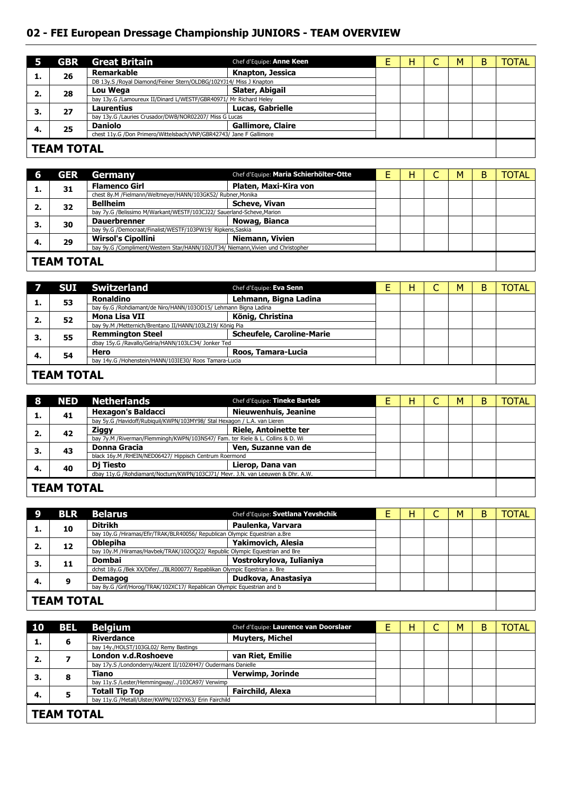#### **02 - FEI European Dressage Championship JUNIORS - TEAM OVERVIEW**

|                                                                     | <b>GBR</b> | <b>Great Britain</b>                                               | Chef d'Equipe: Anne Keen |  | н | ◡ | м | в | <b>TOTAL</b> |
|---------------------------------------------------------------------|------------|--------------------------------------------------------------------|--------------------------|--|---|---|---|---|--------------|
|                                                                     | 26         | Remarkable                                                         | Knapton, Jessica         |  |   |   |   |   |              |
|                                                                     |            | DB 13y.S /Royal Diamond/Feiner Stern/OLDBG/102YJ14/ Miss J Knapton |                          |  |   |   |   |   |              |
|                                                                     | 28         | Lou Wega                                                           | Slater, Abigail          |  |   |   |   |   |              |
|                                                                     |            | bay 13y.G /Lamoureux II/Dinard L/WESTF/GBR40971/ Mr Richard Heley  |                          |  |   |   |   |   |              |
| З.                                                                  | 27         | Laurentius                                                         | Lucas, Gabrielle         |  |   |   |   |   |              |
|                                                                     |            | bay 13y.G /Lauries Crusador/DWB/NOR02207/ Miss G Lucas             |                          |  |   |   |   |   |              |
| 4.                                                                  | 25         | <b>Daniolo</b>                                                     | <b>Gallimore, Claire</b> |  |   |   |   |   |              |
| chest 11y.G /Don Primero/Wittelsbach/VNP/GBR42743/ Jane F Gallimore |            |                                                                    |                          |  |   |   |   |   |              |
|                                                                     |            |                                                                    |                          |  |   |   |   |   |              |
| <b>TEAM TOTAL</b>                                                   |            |                                                                    |                          |  |   |   |   |   |              |

| 6                 | <b>GER</b>                                                                            | Germany                                                     | Chef d'Equipe: Maria Schierhölter-Otte |  | H |  | M | B | <b>TOTAL</b> |
|-------------------|---------------------------------------------------------------------------------------|-------------------------------------------------------------|----------------------------------------|--|---|--|---|---|--------------|
|                   | 31                                                                                    | <b>Flamenco Girl</b>                                        | Platen, Maxi-Kira von                  |  |   |  |   |   |              |
|                   |                                                                                       | chest 8y.M /Fielmann/Weltmeyer/HANN/103GK52/ Rubner, Monika |                                        |  |   |  |   |   |              |
| 2.                | 32                                                                                    | <b>Bellheim</b>                                             | <b>Scheve, Vivan</b>                   |  |   |  |   |   |              |
|                   | bay 7y.G /Belissimo M/Warkant/WESTF/103CJ22/ Sauerland-Scheve, Marion                 |                                                             |                                        |  |   |  |   |   |              |
| З.                | 30                                                                                    | <b>Dauerbrenner</b>                                         | Nowag, Bianca                          |  |   |  |   |   |              |
|                   | bay 9y.G /Democraat/Finalist/WESTF/103PW19/ Ripkens,Saskia                            |                                                             |                                        |  |   |  |   |   |              |
|                   | 29                                                                                    | <b>Wirsol's Cipollini</b>                                   | <b>Niemann, Vivien</b>                 |  |   |  |   |   |              |
|                   | 4.<br>bay 9y.G /Compliment/Western Star/HANN/102UT34/ Niemann, Vivien und Christopher |                                                             |                                        |  |   |  |   |   |              |
|                   |                                                                                       |                                                             |                                        |  |   |  |   |   |              |
| <b>TEAM TOTAL</b> |                                                                                       |                                                             |                                        |  |   |  |   |   |              |

|                   | <b>SUI</b>                                            | <b>Switzerland</b>                                              | Chef d'Equipe: Eva Senn          |  | H |  | M | B | TOTAL |
|-------------------|-------------------------------------------------------|-----------------------------------------------------------------|----------------------------------|--|---|--|---|---|-------|
|                   | 53                                                    | <b>Ronaldino</b>                                                | Lehmann, Bigna Ladina            |  |   |  |   |   |       |
|                   |                                                       | bay 6y.G /Rohdiamant/de Niro/HANN/103OD15/ Lehmann Bigna Ladina |                                  |  |   |  |   |   |       |
|                   | 52                                                    | Mona Lisa VII                                                   | König, Christina                 |  |   |  |   |   |       |
| ۷.                |                                                       | bay 9y.M /Metternich/Brentano II/HANN/103LZ19/ König Pia        |                                  |  |   |  |   |   |       |
| з                 | 55                                                    | <b>Remmington Steel</b>                                         | <b>Scheufele, Caroline-Marie</b> |  |   |  |   |   |       |
|                   |                                                       | dbay 15y.G /Ravallo/Gelria/HANN/103LC34/ Jonker Ted             |                                  |  |   |  |   |   |       |
| 4.                | 54                                                    | Hero                                                            | Roos, Tamara-Lucia               |  |   |  |   |   |       |
|                   | bay 14y.G /Hohenstein/HANN/103IE30/ Roos Tamara-Lucia |                                                                 |                                  |  |   |  |   |   |       |
|                   |                                                       |                                                                 |                                  |  |   |  |   |   |       |
| <b>TEAM TOTAL</b> |                                                       |                                                                 |                                  |  |   |  |   |   |       |

|                                                                                 | NED                                                    | <b>Netherlands</b>                                                             | Chef d'Equipe: Tineke Bartels |  | н |  | M | B | TOTAL |
|---------------------------------------------------------------------------------|--------------------------------------------------------|--------------------------------------------------------------------------------|-------------------------------|--|---|--|---|---|-------|
| ı.                                                                              | 41                                                     | <b>Hexagon's Baldacci</b>                                                      | <b>Nieuwenhuis, Jeanine</b>   |  |   |  |   |   |       |
|                                                                                 |                                                        | bay 5y.G /Havidoff/Rubiquil/KWPN/103MY98/ Stal Hexagon / L.A. van Lieren       |                               |  |   |  |   |   |       |
| 2.                                                                              | 42                                                     | Ziggy                                                                          | <b>Riele, Antoinette ter</b>  |  |   |  |   |   |       |
|                                                                                 |                                                        | bay 7y.M /Riverman/Flemmingh/KWPN/103NS47/ Fam. ter Riele & L. Collins & D. Wi |                               |  |   |  |   |   |       |
| з.                                                                              | 43                                                     | Donna Gracia                                                                   | Ven, Suzanne van de           |  |   |  |   |   |       |
|                                                                                 | black 16y.M /RHEIN/NED06427/ Hippisch Centrum Roermond |                                                                                |                               |  |   |  |   |   |       |
| 4.                                                                              | 40                                                     | Di Tiesto                                                                      | Lierop, Dana van              |  |   |  |   |   |       |
| dbay 11y.G /Rohdiamant/Nocturn/KWPN/103CJ71/ Mevr. J.N. van Leeuwen & Dhr. A.W. |                                                        |                                                                                |                               |  |   |  |   |   |       |
| <b>TEAM TOTAL</b>                                                               |                                                        |                                                                                |                               |  |   |  |   |   |       |
|                                                                                 |                                                        |                                                                                |                               |  |   |  |   |   |       |

#### **TEAM TOTAL**

| 9                                                                      | <b>BLR</b> | <b>Belarus</b>                                                              | Chef d'Equipe: Svetlana Yevshchik |  | H |  | M | В | TOTAL |
|------------------------------------------------------------------------|------------|-----------------------------------------------------------------------------|-----------------------------------|--|---|--|---|---|-------|
|                                                                        | 10         | Ditrikh                                                                     | Paulenka, Varvara                 |  |   |  |   |   |       |
|                                                                        |            | bay 10y.G /Hiramas/Efir/TRAK/BLR40056/ Republican Olympic Equestrian a.Bre  |                                   |  |   |  |   |   |       |
| 2.                                                                     | 12         | <b>Oblepiha</b>                                                             | Yakimovich, Alesia                |  |   |  |   |   |       |
|                                                                        |            | bay 10y.M /Hiramas/Havbek/TRAK/102OQ22/ Republic Olympic Equestrian and Bre |                                   |  |   |  |   |   |       |
| З.                                                                     | 11         | <b>Dombai</b>                                                               | Vostrokrylova, Iulianiya          |  |   |  |   |   |       |
|                                                                        |            | dchst 18y.G /Bek XX/Difer//BLR00077/ Repablikan Olympic Egestrian a. Bre    |                                   |  |   |  |   |   |       |
| 4.                                                                     |            | <b>Demagog</b>                                                              | Dudkova, Anastasiya               |  |   |  |   |   |       |
| bay 8y.G /Grif/Horog/TRAK/102XC17/ Repablican Olympic Equestrian and b |            |                                                                             |                                   |  |   |  |   |   |       |
|                                                                        |            |                                                                             |                                   |  |   |  |   |   |       |
| <b>TEAM TOTAL</b>                                                      |            |                                                                             |                                   |  |   |  |   |   |       |

| <b>10</b>         | BEL                                                         | <b>Belgium</b>                                               | Chef d'Equipe: Laurence van Doorslaer |  | н |  | M | В | TOTAL |
|-------------------|-------------------------------------------------------------|--------------------------------------------------------------|---------------------------------------|--|---|--|---|---|-------|
| ı.                | 6                                                           | <b>Riverdance</b>                                            | <b>Muyters, Michel</b>                |  |   |  |   |   |       |
|                   |                                                             | bay 14y./HOLST/103GL02/ Remy Bastings                        |                                       |  |   |  |   |   |       |
| 2.                |                                                             | <b>London v.d.Roshoeve</b>                                   | van Riet, Emilie                      |  |   |  |   |   |       |
|                   |                                                             | bay 17y.S /Londonderry/Akzent II/102XH47/ Oudermans Danielle |                                       |  |   |  |   |   |       |
| 3.                | 8                                                           | Tiano                                                        | Verwimp, Jorinde                      |  |   |  |   |   |       |
|                   |                                                             | bay 11y.S /Lester/Hemmingway//103CA97/ Verwimp               |                                       |  |   |  |   |   |       |
|                   |                                                             | <b>Totall Tip Top</b>                                        | <b>Fairchild, Alexa</b>               |  |   |  |   |   |       |
|                   | 4.<br>bay 11y.G /Metall/Ulster/KWPN/102YX63/ Erin Fairchild |                                                              |                                       |  |   |  |   |   |       |
| <b>TEAM TOTAL</b> |                                                             |                                                              |                                       |  |   |  |   |   |       |
|                   |                                                             |                                                              |                                       |  |   |  |   |   |       |